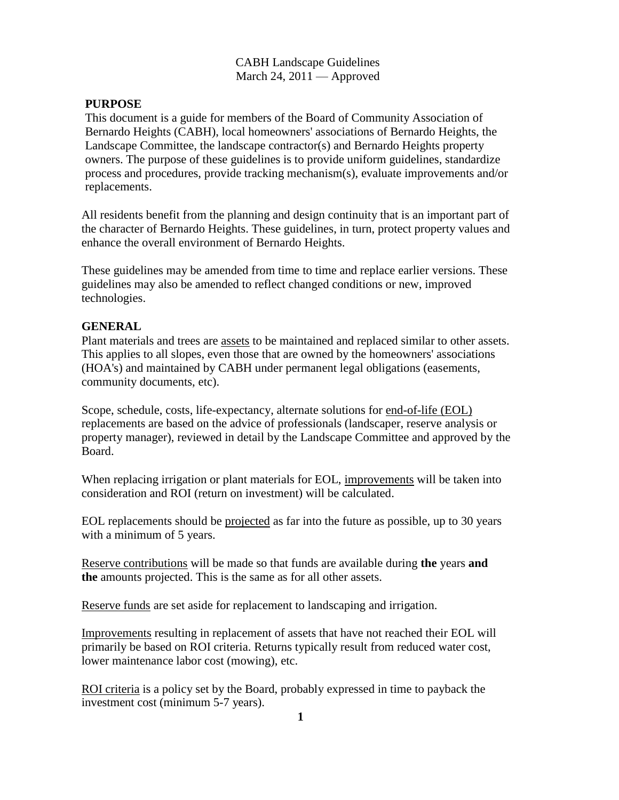## CABH Landscape Guidelines March 24,  $2011$  — Approved

## **PURPOSE**

This document is a guide for members of the Board of Community Association of Bernardo Heights (CABH), local homeowners' associations of Bernardo Heights, the Landscape Committee, the landscape contractor(s) and Bernardo Heights property owners. The purpose of these guidelines is to provide uniform guidelines, standardize process and procedures, provide tracking mechanism(s), evaluate improvements and/or replacements.

All residents benefit from the planning and design continuity that is an important part of the character of Bernardo Heights. These guidelines, in turn, protect property values and enhance the overall environment of Bernardo Heights.

These guidelines may be amended from time to time and replace earlier versions. These guidelines may also be amended to reflect changed conditions or new, improved technologies.

### **GENERAL**

Plant materials and trees are assets to be maintained and replaced similar to other assets. This applies to all slopes, even those that are owned by the homeowners' associations (HOA's) and maintained by CABH under permanent legal obligations (easements, community documents, etc).

Scope, schedule, costs, life-expectancy, alternate solutions for end-of-life (EOL) replacements are based on the advice of professionals (landscaper, reserve analysis or property manager), reviewed in detail by the Landscape Committee and approved by the Board.

When replacing irrigation or plant materials for EOL, improvements will be taken into consideration and ROI (return on investment) will be calculated.

EOL replacements should be projected as far into the future as possible, up to 30 years with a minimum of 5 years.

Reserve contributions will be made so that funds are available during **the** years **and the** amounts projected. This is the same as for all other assets.

Reserve funds are set aside for replacement to landscaping and irrigation.

Improvements resulting in replacement of assets that have not reached their EOL will primarily be based on ROI criteria. Returns typically result from reduced water cost, lower maintenance labor cost (mowing), etc.

ROI criteria is a policy set by the Board, probably expressed in time to payback the investment cost (minimum 5-7 years).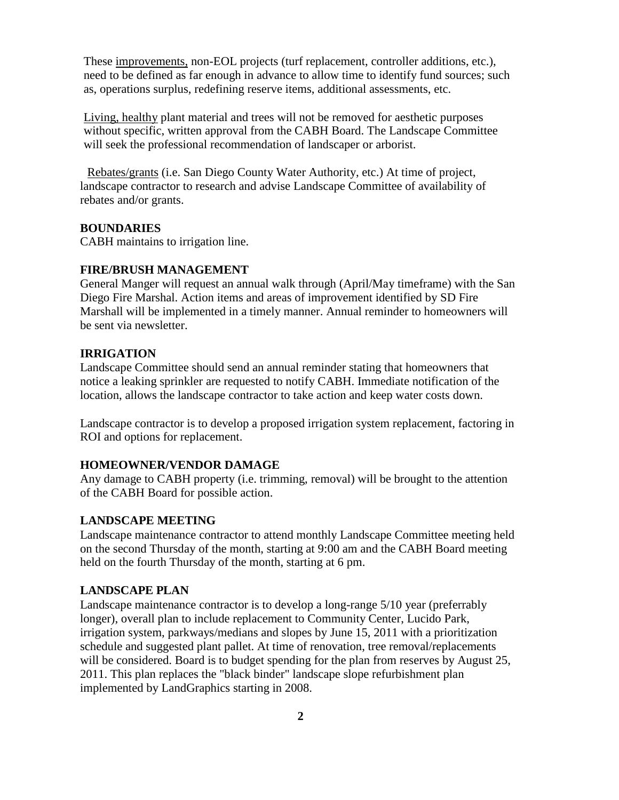These improvements, non-EOL projects (turf replacement, controller additions, etc.), need to be defined as far enough in advance to allow time to identify fund sources; such as, operations surplus, redefining reserve items, additional assessments, etc.

Living, healthy plant material and trees will not be removed for aesthetic purposes without specific, written approval from the CABH Board. The Landscape Committee will seek the professional recommendation of landscaper or arborist.

Rebates/grants (i.e. San Diego County Water Authority, etc.) At time of project, landscape contractor to research and advise Landscape Committee of availability of rebates and/or grants.

### **BOUNDARIES**

CABH maintains to irrigation line.

#### **FIRE/BRUSH MANAGEMENT**

General Manger will request an annual walk through (April/May timeframe) with the San Diego Fire Marshal. Action items and areas of improvement identified by SD Fire Marshall will be implemented in a timely manner. Annual reminder to homeowners will be sent via newsletter.

#### **IRRIGATION**

Landscape Committee should send an annual reminder stating that homeowners that notice a leaking sprinkler are requested to notify CABH. Immediate notification of the location, allows the landscape contractor to take action and keep water costs down.

Landscape contractor is to develop a proposed irrigation system replacement, factoring in ROI and options for replacement.

## **HOMEOWNER/VENDOR DAMAGE**

Any damage to CABH property (i.e. trimming, removal) will be brought to the attention of the CABH Board for possible action.

#### **LANDSCAPE MEETING**

Landscape maintenance contractor to attend monthly Landscape Committee meeting held on the second Thursday of the month, starting at 9:00 am and the CABH Board meeting held on the fourth Thursday of the month, starting at 6 pm.

### **LANDSCAPE PLAN**

Landscape maintenance contractor is to develop a long-range 5/10 year (preferrably longer), overall plan to include replacement to Community Center, Lucido Park, irrigation system, parkways/medians and slopes by June 15, 2011 with a prioritization schedule and suggested plant pallet. At time of renovation, tree removal/replacements will be considered. Board is to budget spending for the plan from reserves by August 25, 2011. This plan replaces the "black binder" landscape slope refurbishment plan implemented by LandGraphics starting in 2008.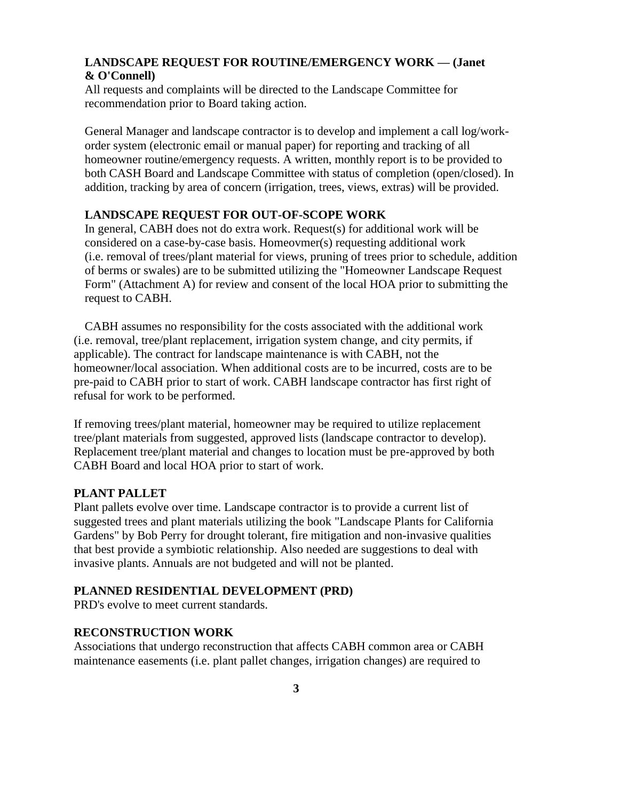# **LANDSCAPE REQUEST FOR ROUTINE/EMERGENCY WORK — (Janet & O'Connell)**

All requests and complaints will be directed to the Landscape Committee for recommendation prior to Board taking action.

General Manager and landscape contractor is to develop and implement a call log/workorder system (electronic email or manual paper) for reporting and tracking of all homeowner routine/emergency requests. A written, monthly report is to be provided to both CASH Board and Landscape Committee with status of completion (open/closed). In addition, tracking by area of concern (irrigation, trees, views, extras) will be provided.

## **LANDSCAPE REQUEST FOR OUT-OF-SCOPE WORK**

In general, CABH does not do extra work. Request(s) for additional work will be considered on a case-by-case basis. Homeovmer(s) requesting additional work (i.e. removal of trees/plant material for views, pruning of trees prior to schedule, addition of berms or swales) are to be submitted utilizing the "Homeowner Landscape Request Form" (Attachment A) for review and consent of the local HOA prior to submitting the request to CABH.

CABH assumes no responsibility for the costs associated with the additional work (i.e. removal, tree/plant replacement, irrigation system change, and city permits, if applicable). The contract for landscape maintenance is with CABH, not the homeowner/local association. When additional costs are to be incurred, costs are to be pre-paid to CABH prior to start of work. CABH landscape contractor has first right of refusal for work to be performed.

If removing trees/plant material, homeowner may be required to utilize replacement tree/plant materials from suggested, approved lists (landscape contractor to develop). Replacement tree/plant material and changes to location must be pre-approved by both CABH Board and local HOA prior to start of work.

### **PLANT PALLET**

Plant pallets evolve over time. Landscape contractor is to provide a current list of suggested trees and plant materials utilizing the book "Landscape Plants for California Gardens" by Bob Perry for drought tolerant, fire mitigation and non-invasive qualities that best provide a symbiotic relationship. Also needed are suggestions to deal with invasive plants. Annuals are not budgeted and will not be planted.

### **PLANNED RESIDENTIAL DEVELOPMENT (PRD)**

PRD's evolve to meet current standards.

### **RECONSTRUCTION WORK**

Associations that undergo reconstruction that affects CABH common area or CABH maintenance easements (i.e. plant pallet changes, irrigation changes) are required to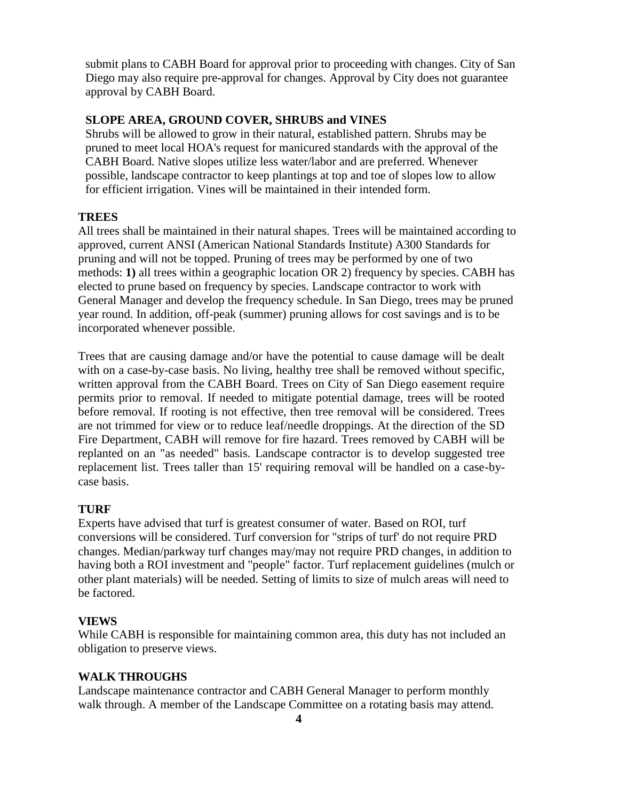submit plans to CABH Board for approval prior to proceeding with changes. City of San Diego may also require pre-approval for changes. Approval by City does not guarantee approval by CABH Board.

## **SLOPE AREA, GROUND COVER, SHRUBS and VINES**

Shrubs will be allowed to grow in their natural, established pattern. Shrubs may be pruned to meet local HOA's request for manicured standards with the approval of the CABH Board. Native slopes utilize less water/labor and are preferred. Whenever possible, landscape contractor to keep plantings at top and toe of slopes low to allow for efficient irrigation. Vines will be maintained in their intended form.

## **TREES**

All trees shall be maintained in their natural shapes. Trees will be maintained according to approved, current ANSI (American National Standards Institute) A300 Standards for pruning and will not be topped. Pruning of trees may be performed by one of two methods: **1)** all trees within a geographic location OR 2) frequency by species. CABH has elected to prune based on frequency by species. Landscape contractor to work with General Manager and develop the frequency schedule. In San Diego, trees may be pruned year round. In addition, off-peak (summer) pruning allows for cost savings and is to be incorporated whenever possible.

Trees that are causing damage and/or have the potential to cause damage will be dealt with on a case-by-case basis. No living, healthy tree shall be removed without specific, written approval from the CABH Board. Trees on City of San Diego easement require permits prior to removal. If needed to mitigate potential damage, trees will be rooted before removal. If rooting is not effective, then tree removal will be considered. Trees are not trimmed for view or to reduce leaf/needle droppings. At the direction of the SD Fire Department, CABH will remove for fire hazard. Trees removed by CABH will be replanted on an "as needed" basis. Landscape contractor is to develop suggested tree replacement list. Trees taller than 15' requiring removal will be handled on a case-bycase basis.

### **TURF**

Experts have advised that turf is greatest consumer of water. Based on ROI, turf conversions will be considered. Turf conversion for "strips of turf' do not require PRD changes. Median/parkway turf changes may/may not require PRD changes, in addition to having both a ROI investment and "people" factor. Turf replacement guidelines (mulch or other plant materials) will be needed. Setting of limits to size of mulch areas will need to be factored.

### **VIEWS**

While CABH is responsible for maintaining common area, this duty has not included an obligation to preserve views.

### **WALK THROUGHS**

Landscape maintenance contractor and CABH General Manager to perform monthly walk through. A member of the Landscape Committee on a rotating basis may attend.